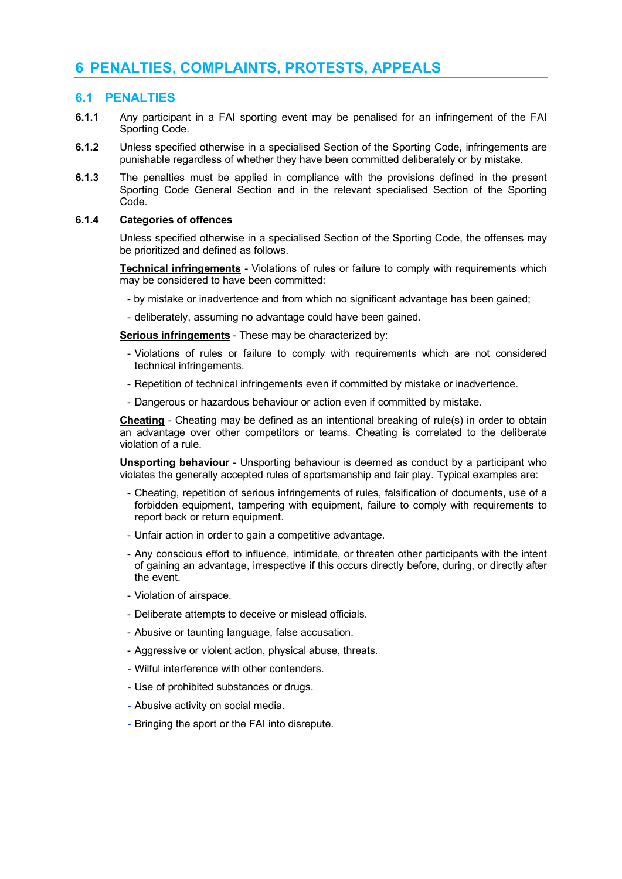# **6 PENALTIES, COMPLAINTS, PROTESTS, APPEALS**

# **6.1 PENALTIES**

- **6.1.1** Any participant in a FAI sporting event may be penalised for an infringement of the FAI Sporting Code.
- **6.1.2** Unless specified otherwise in a specialised Section of the Sporting Code, infringements are punishable regardless of whether they have been committed deliberately or by mistake.
- **6.1.3** The penalties must be applied in compliance with the provisions defined in the present Sporting Code General Section and in the relevant specialised Section of the Sporting Code.

#### **6.1.4 Categories of offences**

Unless specified otherwise in a specialised Section of the Sporting Code, the offenses may be prioritized and defined as follows.

**Technical infringements** - Violations of rules or failure to comply with requirements which may be considered to have been committed:

- by mistake or inadvertence and from which no significant advantage has been gained;
- deliberately, assuming no advantage could have been gained.

**Serious infringements** - These may be characterized by:

- Violations of rules or failure to comply with requirements which are not considered technical infringements.
- Repetition of technical infringements even if committed by mistake or inadvertence.
- Dangerous or hazardous behaviour or action even if committed by mistake.

**Cheating** - Cheating may be defined as an intentional breaking of rule(s) in order to obtain an advantage over other competitors or teams. Cheating is correlated to the deliberate violation of a rule.

**Unsporting behaviour** - Unsporting behaviour is deemed as conduct by a participant who violates the generally accepted rules of sportsmanship and fair play. Typical examples are:

- Cheating, repetition of serious infringements of rules, falsification of documents, use of a forbidden equipment, tampering with equipment, failure to comply with requirements to report back or return equipment.
- Unfair action in order to gain a competitive advantage.
- Any conscious effort to influence, intimidate, or threaten other participants with the intent of gaining an advantage, irrespective if this occurs directly before, during, or directly after the event.
- Violation of airspace.
- Deliberate attempts to deceive or mislead officials.
- Abusive or taunting language, false accusation.
- Aggressive or violent action, physical abuse, threats.
- *-* Wilful interference with other contenders.
- *-* Use of prohibited substances or drugs.
- *-* Abusive activity on social media.
- *-* Bringing the sport or the FAI into disrepute.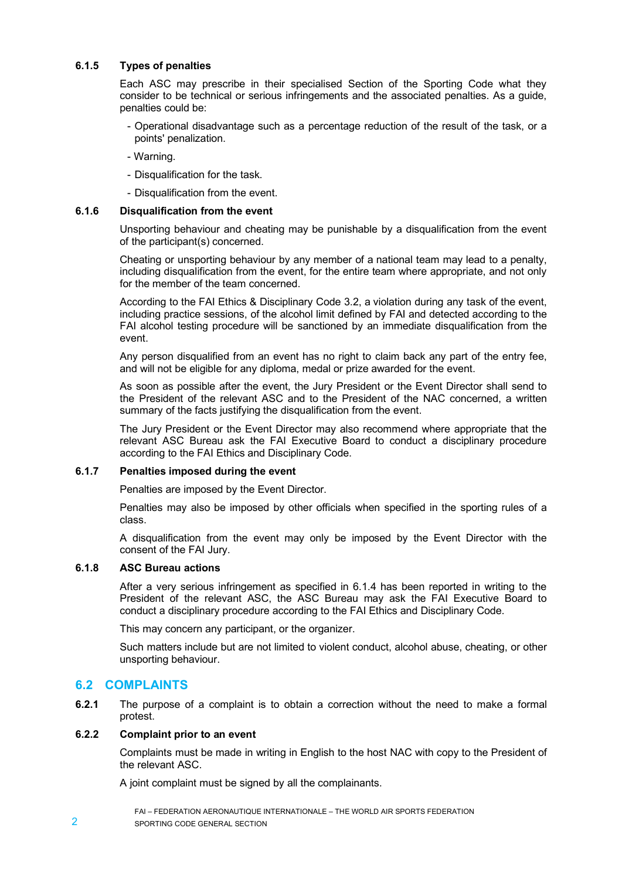### **6.1.5 Types of penalties**

Each ASC may prescribe in their specialised Section of the Sporting Code what they consider to be technical or serious infringements and the associated penalties. As a guide, penalties could be:

- Operational disadvantage such as a percentage reduction of the result of the task, or a points' penalization.

- Warning.

- Disqualification for the task.
- Disqualification from the event.

### **6.1.6 Disqualification from the event**

Unsporting behaviour and cheating may be punishable by a disqualification from the event of the participant(s) concerned.

Cheating or unsporting behaviour by any member of a national team may lead to a penalty, including disqualification from the event, for the entire team where appropriate, and not only for the member of the team concerned.

According to the FAI Ethics & Disciplinary Code 3.2, a violation during any task of the event, including practice sessions, of the alcohol limit defined by FAI and detected according to the FAI alcohol testing procedure will be sanctioned by an immediate disqualification from the event.

Any person disqualified from an event has no right to claim back any part of the entry fee, and will not be eligible for any diploma, medal or prize awarded for the event.

As soon as possible after the event, the Jury President or the Event Director shall send to the President of the relevant ASC and to the President of the NAC concerned, a written summary of the facts justifying the disqualification from the event.

The Jury President or the Event Director may also recommend where appropriate that the relevant ASC Bureau ask the FAI Executive Board to conduct a disciplinary procedure according to the FAI Ethics and Disciplinary Code.

#### **6.1.7 Penalties imposed during the event**

Penalties are imposed by the Event Director.

Penalties may also be imposed by other officials when specified in the sporting rules of a class.

A disqualification from the event may only be imposed by the Event Director with the consent of the FAI Jury.

#### **6.1.8 ASC Bureau actions**

After a very serious infringement as specified in 6.1.4 has been reported in writing to the President of the relevant ASC, the ASC Bureau may ask the FAI Executive Board to conduct a disciplinary procedure according to the FAI Ethics and Disciplinary Code.

This may concern any participant, or the organizer.

Such matters include but are not limited to violent conduct, alcohol abuse, cheating, or other unsporting behaviour.

# **6.2 COMPLAINTS**

**6.2.1** The purpose of a complaint is to obtain a correction without the need to make a formal protest.

### **6.2.2 Complaint prior to an event**

Complaints must be made in writing in English to the host NAC with copy to the President of the relevant ASC.

A joint complaint must be signed by all the complainants.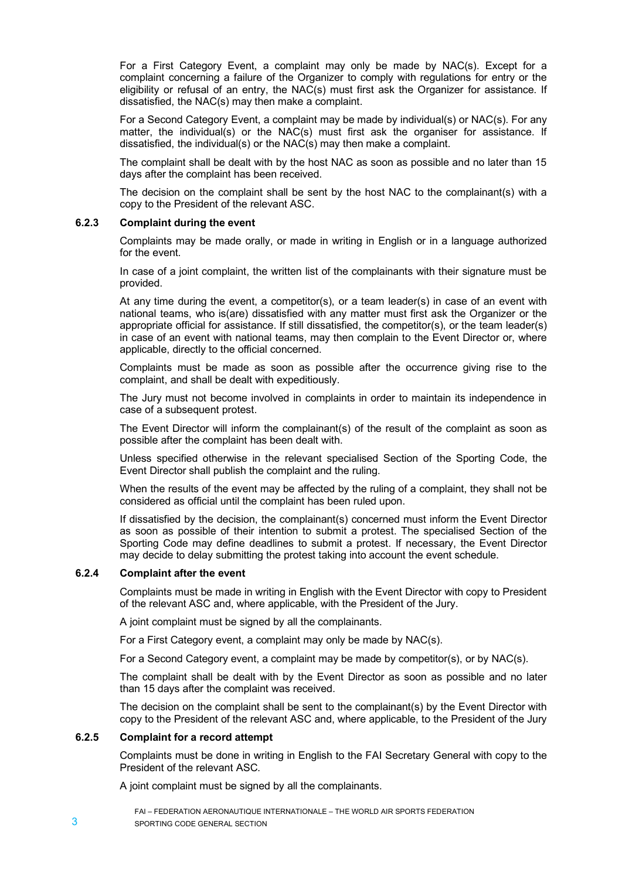For a First Category Event, a complaint may only be made by NAC(s). Except for a complaint concerning a failure of the Organizer to comply with regulations for entry or the eligibility or refusal of an entry, the NAC(s) must first ask the Organizer for assistance. If dissatisfied, the NAC(s) may then make a complaint.

For a Second Category Event, a complaint may be made by individual(s) or NAC(s). For any matter, the individual(s) or the NAC(s) must first ask the organiser for assistance. If dissatisfied, the individual(s) or the NAC(s) may then make a complaint.

The complaint shall be dealt with by the host NAC as soon as possible and no later than 15 days after the complaint has been received.

The decision on the complaint shall be sent by the host NAC to the complainant(s) with a copy to the President of the relevant ASC.

### **6.2.3 Complaint during the event**

Complaints may be made orally, or made in writing in English or in a language authorized for the event.

In case of a joint complaint, the written list of the complainants with their signature must be provided.

At any time during the event, a competitor(s), or a team leader(s) in case of an event with national teams, who is(are) dissatisfied with any matter must first ask the Organizer or the appropriate official for assistance. If still dissatisfied, the competitor(s), or the team leader(s) in case of an event with national teams, may then complain to the Event Director or, where applicable, directly to the official concerned.

Complaints must be made as soon as possible after the occurrence giving rise to the complaint, and shall be dealt with expeditiously.

The Jury must not become involved in complaints in order to maintain its independence in case of a subsequent protest.

The Event Director will inform the complainant(s) of the result of the complaint as soon as possible after the complaint has been dealt with.

Unless specified otherwise in the relevant specialised Section of the Sporting Code, the Event Director shall publish the complaint and the ruling.

When the results of the event may be affected by the ruling of a complaint, they shall not be considered as official until the complaint has been ruled upon.

If dissatisfied by the decision, the complainant(s) concerned must inform the Event Director as soon as possible of their intention to submit a protest. The specialised Section of the Sporting Code may define deadlines to submit a protest. If necessary, the Event Director may decide to delay submitting the protest taking into account the event schedule.

### **6.2.4 Complaint after the event**

Complaints must be made in writing in English with the Event Director with copy to President of the relevant ASC and, where applicable, with the President of the Jury.

A joint complaint must be signed by all the complainants.

For a First Category event, a complaint may only be made by NAC(s).

For a Second Category event, a complaint may be made by competitor(s), or by NAC(s).

The complaint shall be dealt with by the Event Director as soon as possible and no later than 15 days after the complaint was received.

The decision on the complaint shall be sent to the complainant(s) by the Event Director with copy to the President of the relevant ASC and, where applicable, to the President of the Jury

# **6.2.5 Complaint for a record attempt**

Complaints must be done in writing in English to the FAI Secretary General with copy to the President of the relevant ASC.

A joint complaint must be signed by all the complainants.

FAI – FEDERATION AERONAUTIQUE INTERNATIONALE – THE WORLD AIR SPORTS FEDERATION 3 SPORTING CODE GENERAL SECTION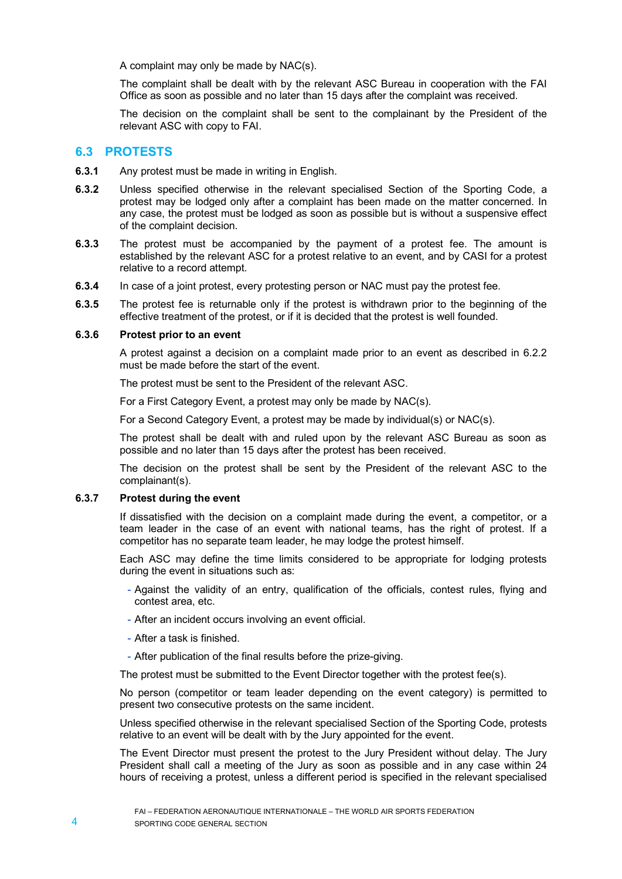A complaint may only be made by NAC(s).

The complaint shall be dealt with by the relevant ASC Bureau in cooperation with the FAI Office as soon as possible and no later than 15 days after the complaint was received.

The decision on the complaint shall be sent to the complainant by the President of the relevant ASC with copy to FAI.

# **6.3 PROTESTS**

**6.3.1** Any protest must be made in writing in English.

- **6.3.2** Unless specified otherwise in the relevant specialised Section of the Sporting Code, a protest may be lodged only after a complaint has been made on the matter concerned. In any case, the protest must be lodged as soon as possible but is without a suspensive effect of the complaint decision.
- **6.3.3** The protest must be accompanied by the payment of a protest fee. The amount is established by the relevant ASC for a protest relative to an event, and by CASI for a protest relative to a record attempt.
- **6.3.4** In case of a joint protest, every protesting person or NAC must pay the protest fee.
- **6.3.5** The protest fee is returnable only if the protest is withdrawn prior to the beginning of the effective treatment of the protest, or if it is decided that the protest is well founded.

#### **6.3.6 Protest prior to an event**

A protest against a decision on a complaint made prior to an event as described in 6.2.2 must be made before the start of the event.

The protest must be sent to the President of the relevant ASC.

For a First Category Event, a protest may only be made by NAC(s).

For a Second Category Event, a protest may be made by individual(s) or NAC(s).

The protest shall be dealt with and ruled upon by the relevant ASC Bureau as soon as possible and no later than 15 days after the protest has been received.

The decision on the protest shall be sent by the President of the relevant ASC to the complainant(s).

# **6.3.7 Protest during the event**

If dissatisfied with the decision on a complaint made during the event, a competitor, or a team leader in the case of an event with national teams, has the right of protest. If a competitor has no separate team leader, he may lodge the protest himself.

Each ASC may define the time limits considered to be appropriate for lodging protests during the event in situations such as:

- *-* Against the validity of an entry, qualification of the officials, contest rules, flying and contest area, etc.
- *-* After an incident occurs involving an event official.
- *-* After a task is finished.
- *-* After publication of the final results before the prize-giving.

The protest must be submitted to the Event Director together with the protest fee(s).

No person (competitor or team leader depending on the event category) is permitted to present two consecutive protests on the same incident.

Unless specified otherwise in the relevant specialised Section of the Sporting Code, protests relative to an event will be dealt with by the Jury appointed for the event.

The Event Director must present the protest to the Jury President without delay. The Jury President shall call a meeting of the Jury as soon as possible and in any case within 24 hours of receiving a protest, unless a different period is specified in the relevant specialised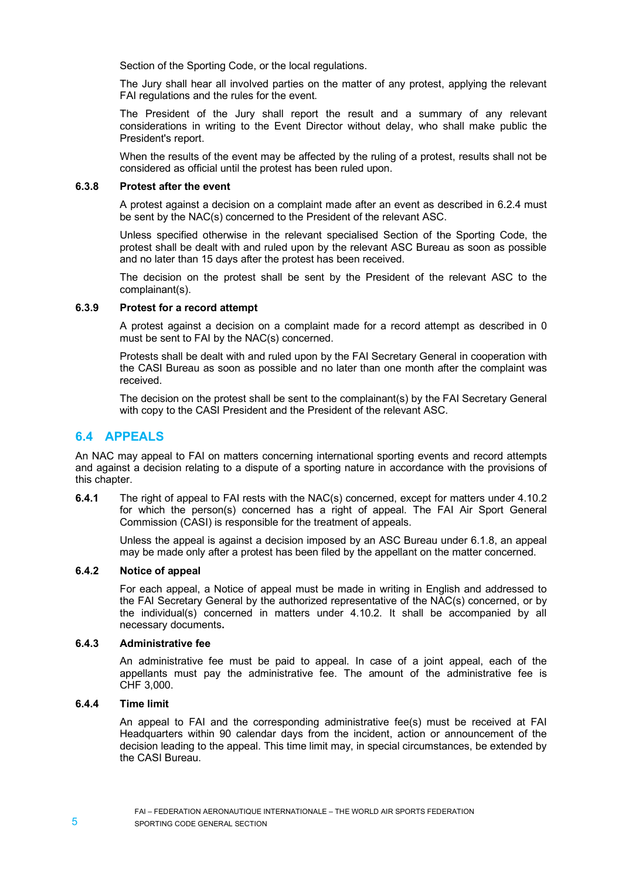Section of the Sporting Code, or the local regulations.

The Jury shall hear all involved parties on the matter of any protest, applying the relevant FAI regulations and the rules for the event.

The President of the Jury shall report the result and a summary of any relevant considerations in writing to the Event Director without delay, who shall make public the President's report.

When the results of the event may be affected by the ruling of a protest, results shall not be considered as official until the protest has been ruled upon.

### **6.3.8 Protest after the event**

A protest against a decision on a complaint made after an event as described in 6.2.4 must be sent by the NAC(s) concerned to the President of the relevant ASC.

Unless specified otherwise in the relevant specialised Section of the Sporting Code, the protest shall be dealt with and ruled upon by the relevant ASC Bureau as soon as possible and no later than 15 days after the protest has been received.

The decision on the protest shall be sent by the President of the relevant ASC to the complainant(s).

### **6.3.9 Protest for a record attempt**

A protest against a decision on a complaint made for a record attempt as described in 0 must be sent to FAI by the NAC(s) concerned.

Protests shall be dealt with and ruled upon by the FAI Secretary General in cooperation with the CASI Bureau as soon as possible and no later than one month after the complaint was received.

The decision on the protest shall be sent to the complainant(s) by the FAI Secretary General with copy to the CASI President and the President of the relevant ASC.

# **6.4 APPEALS**

An NAC may appeal to FAI on matters concerning international sporting events and record attempts and against a decision relating to a dispute of a sporting nature in accordance with the provisions of this chapter.

**6.4.1** The right of appeal to FAI rests with the NAC(s) concerned, except for matters under 4.10.2 for which the person(s) concerned has a right of appeal. The FAI Air Sport General Commission (CASI) is responsible for the treatment of appeals.

Unless the appeal is against a decision imposed by an ASC Bureau under 6.1.8, an appeal may be made only after a protest has been filed by the appellant on the matter concerned.

### **6.4.2 Notice of appeal**

For each appeal, a Notice of appeal must be made in writing in English and addressed to the FAI Secretary General by the authorized representative of the NAC(s) concerned, or by the individual(s) concerned in matters under 4.10.2. It shall be accompanied by all necessary documents**.**

#### **6.4.3 Administrative fee**

An administrative fee must be paid to appeal. In case of a joint appeal, each of the appellants must pay the administrative fee. The amount of the administrative fee is CHF 3,000.

### **6.4.4 Time limit**

An appeal to FAI and the corresponding administrative fee(s) must be received at FAI Headquarters within 90 calendar days from the incident, action or announcement of the decision leading to the appeal. This time limit may, in special circumstances, be extended by the CASI Bureau.